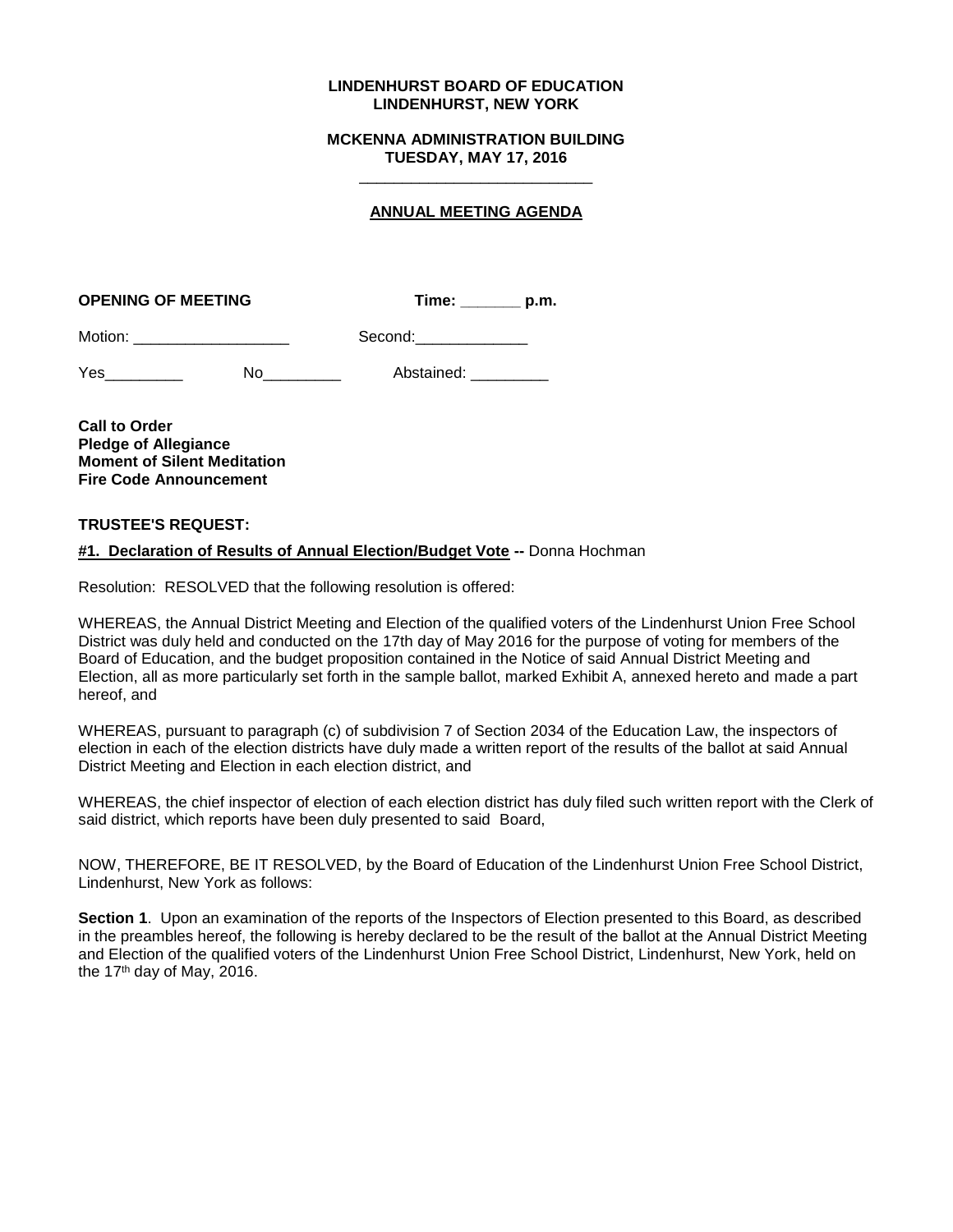### **LINDENHURST BOARD OF EDUCATION LINDENHURST, NEW YORK**

### **MCKENNA ADMINISTRATION BUILDING TUESDAY, MAY 17, 2016** \_\_\_\_\_\_\_\_\_\_\_\_\_\_\_\_\_\_\_\_\_\_\_\_\_\_\_

# **ANNUAL MEETING AGENDA**

| <b>OPENING OF MEETING</b> | Time: | p.m. |
|---------------------------|-------|------|
|                           |       |      |

| Motion: | Second: |
|---------|---------|
|         |         |

| Yes | Abstained: |
|-----|------------|
|     |            |

**Call to Order Pledge of Allegiance Moment of Silent Meditation Fire Code Announcement**

# **TRUSTEE'S REQUEST:**

# **#1. Declaration of Results of Annual Election/Budget Vote --** Donna Hochman

Resolution: RESOLVED that the following resolution is offered:

WHEREAS, the Annual District Meeting and Election of the qualified voters of the Lindenhurst Union Free School District was duly held and conducted on the 17th day of May 2016 for the purpose of voting for members of the Board of Education, and the budget proposition contained in the Notice of said Annual District Meeting and Election, all as more particularly set forth in the sample ballot, marked Exhibit A, annexed hereto and made a part hereof, and

WHEREAS, pursuant to paragraph (c) of subdivision 7 of Section 2034 of the Education Law, the inspectors of election in each of the election districts have duly made a written report of the results of the ballot at said Annual District Meeting and Election in each election district, and

WHEREAS, the chief inspector of election of each election district has duly filed such written report with the Clerk of said district, which reports have been duly presented to said Board,

NOW, THEREFORE, BE IT RESOLVED, by the Board of Education of the Lindenhurst Union Free School District, Lindenhurst, New York as follows:

**Section 1**. Upon an examination of the reports of the Inspectors of Election presented to this Board, as described in the preambles hereof, the following is hereby declared to be the result of the ballot at the Annual District Meeting and Election of the qualified voters of the Lindenhurst Union Free School District, Lindenhurst, New York, held on the 17<sup>th</sup> day of May, 2016.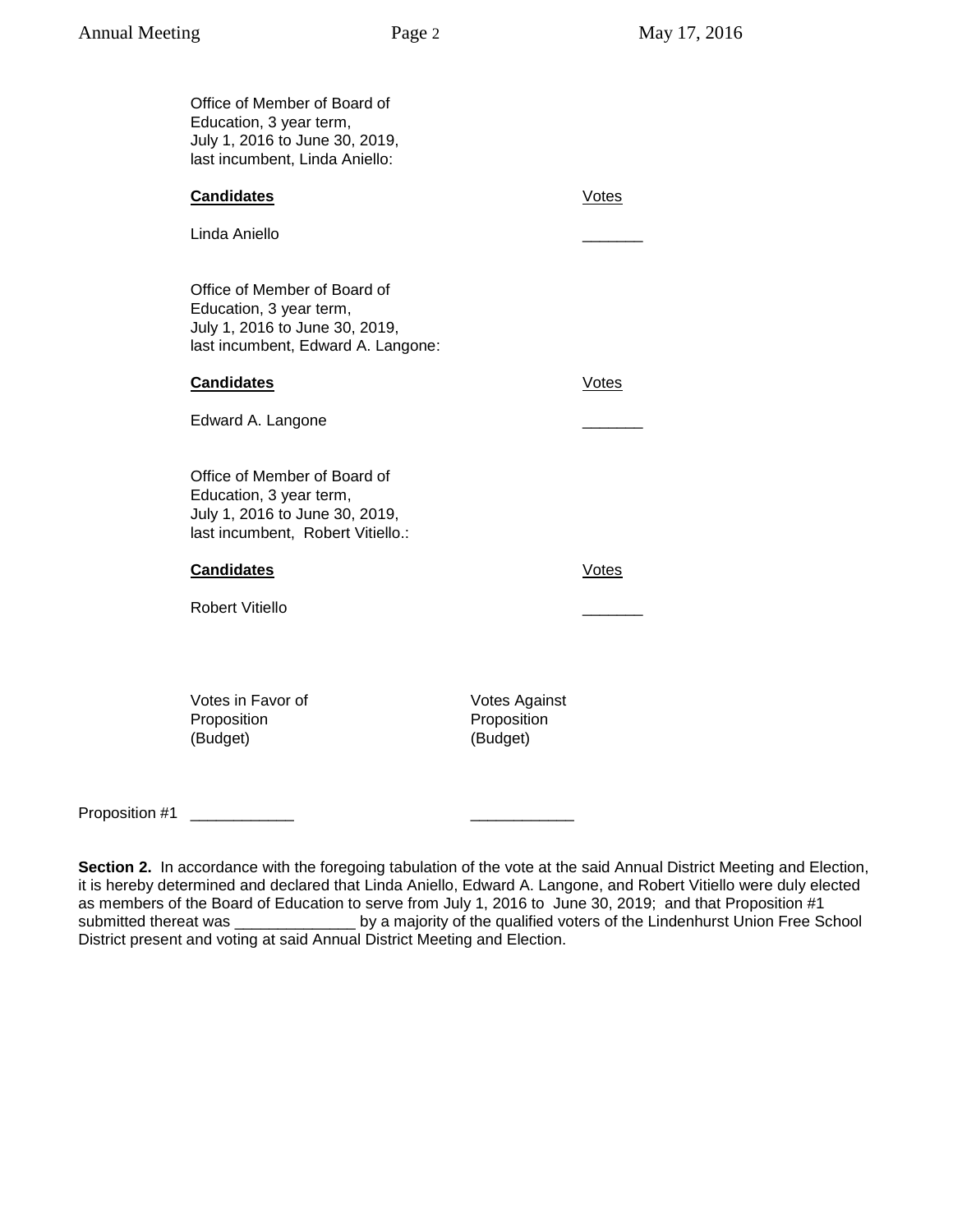|                | Office of Member of Board of<br>Education, 3 year term,<br>July 1, 2016 to June 30, 2019,<br>last incumbent, Linda Aniello:     |                                     |              |
|----------------|---------------------------------------------------------------------------------------------------------------------------------|-------------------------------------|--------------|
|                | <b>Candidates</b>                                                                                                               |                                     | <b>Votes</b> |
|                | Linda Aniello                                                                                                                   |                                     |              |
|                | Office of Member of Board of<br>Education, 3 year term,<br>July 1, 2016 to June 30, 2019,<br>last incumbent, Edward A. Langone: |                                     |              |
|                | <b>Candidates</b>                                                                                                               |                                     | <b>Votes</b> |
|                | Edward A. Langone                                                                                                               |                                     |              |
|                | Office of Member of Board of<br>Education, 3 year term,<br>July 1, 2016 to June 30, 2019,<br>last incumbent, Robert Vitiello.:  |                                     |              |
|                | <b>Candidates</b>                                                                                                               |                                     | <b>Votes</b> |
|                | <b>Robert Vitiello</b>                                                                                                          |                                     |              |
|                | Votes in Favor of<br>Proposition                                                                                                | <b>Votes Against</b><br>Proposition |              |
|                | (Budget)                                                                                                                        | (Budget)                            |              |
| Proposition #1 |                                                                                                                                 |                                     |              |

**Section 2.** In accordance with the foregoing tabulation of the vote at the said Annual District Meeting and Election, it is hereby determined and declared that Linda Aniello, Edward A. Langone, and Robert Vitiello were duly elected as members of the Board of Education to serve from July 1, 2016 to June 30, 2019; and that Proposition #1 Louis by a majority of the qualified voters of the Lindenhurst Union Free School District present and voting at said Annual District Meeting and Election.